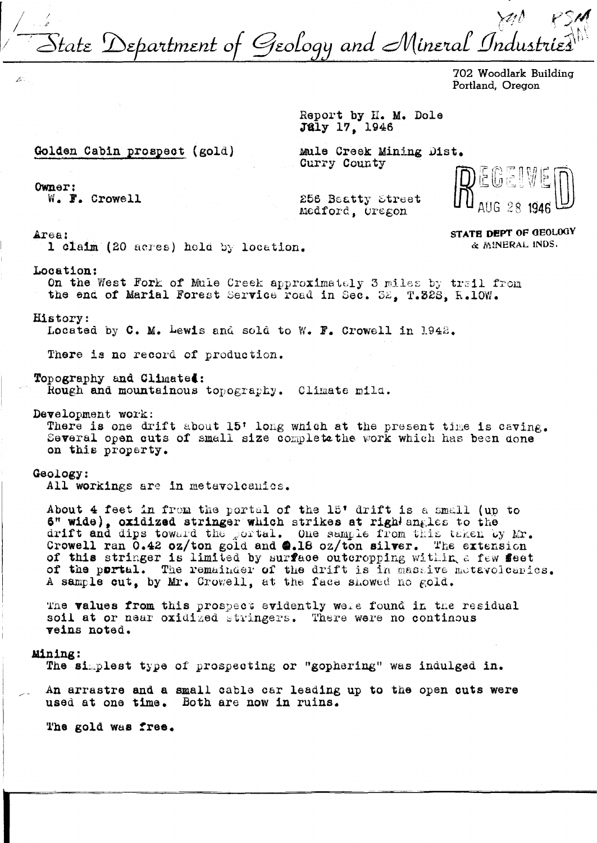Itate Department of Geology and Mineral Industr

702 Woodlark Building Portland. Oregon

Report by H. M. Dole July 17, 1946

Golden Cabin prospect (gold)

Mule Creek Mining Dist. Curry County

Owner:

 $\mathcal{E}^{\circ}$ 

W. F. Crowell

256 Beatty Street Medford, Uregon

> STATE DEPT OF GEOLOGY & MINERAL INDS.

Area:

1 claim (20 acres) held by location.

Location:

On the West Fork of Mule Creek approximately 3 miles by trail from the end of Marial Forest Service road in Sec. 32. T.32S. R.10W.

History:

Located by C. M. Lewis and sold to W. F. Crowell in 1942.

There is no record of production.

Topography and Climated:

Rough and mountainous topography. Climate mild.

Development work:

There is one drift about 15' long which at the present time is caving. Several open cuts of small size completathe work which has been done on this property.

## Geology:

All workings are in metavolcanics.

About 4 feet in from the portal of the 15' drift is a small (up to 6" wide), oxidized stringer which strikes at right angles to the drift and dips toward the portal. One sample from this taken by Mr.<br>Crowell ran 0.42 oz/ton gold and @.18 oz/ton silver. The extension of this stringer is limited by surface outcropping within a few feet of the portal. The remainder of the drift is in massive metavolognics. A sample cut, by Mr. Crowell, at the face showed no gold.

The values from this prospect evidently well found in the residual soil at or near oxidized stringers. There were no continous veins noted.

## Mining:

The simplest type of prospecting or "gophering" was indulged in.

An arrastre and a small cable car leading up to the open cuts were used at one time. Both are now in ruins.

The gold was free.